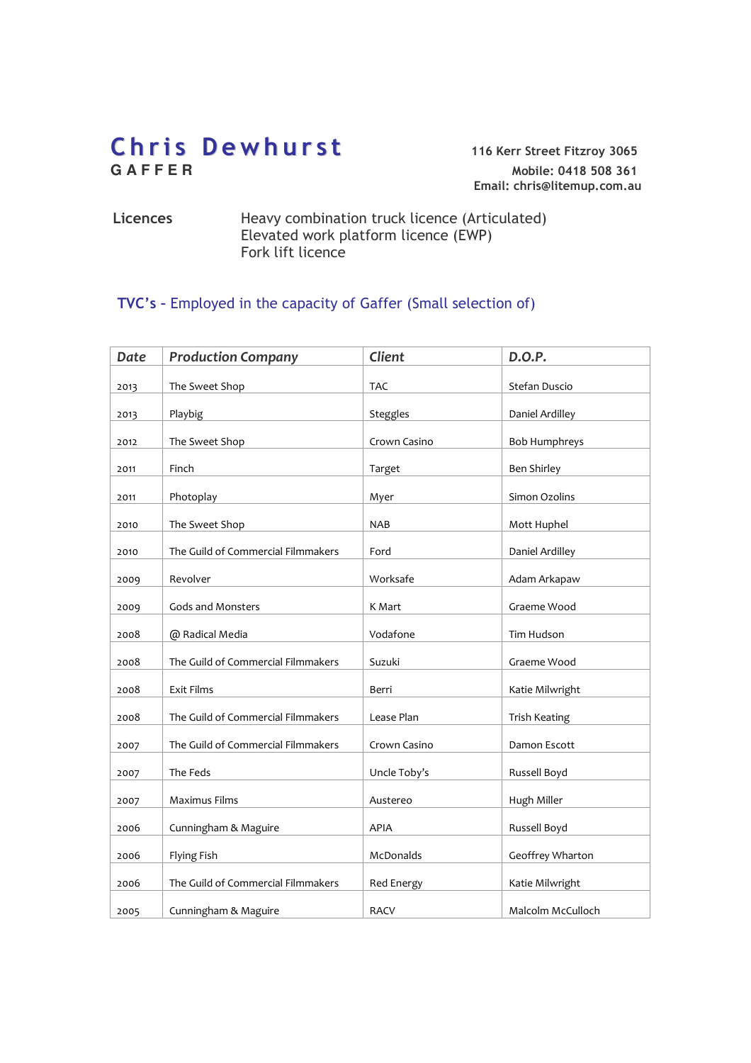# Chris Dewhurst<br>GAFFER<br>Mobile: 0418 508 361

**G A F F E R** Mobile: 0418 508 361 Email: chris@litemup.com.au

#### Licences Heavy combination truck licence (Articulated) Elevated work platform licence (EWP) Fork lift licence

# TVC's – Employed in the capacity of Gaffer (Small selection of)

| <b>Date</b> | <b>Production Company</b>          | Client           | D.O.P.               |
|-------------|------------------------------------|------------------|----------------------|
| 2013        | The Sweet Shop                     | <b>TAC</b>       | Stefan Duscio        |
|             |                                    |                  |                      |
| 2013        | Playbig                            | Steggles         | Daniel Ardilley      |
| 2012        | The Sweet Shop                     | Crown Casino     | <b>Bob Humphreys</b> |
| 2011        | Finch                              | Target           | <b>Ben Shirley</b>   |
| 2011        | Photoplay                          | Myer             | Simon Ozolins        |
| 2010        | The Sweet Shop                     | <b>NAB</b>       | Mott Huphel          |
| 2010        | The Guild of Commercial Filmmakers | Ford             | Daniel Ardilley      |
| 2009        | Revolver                           | Worksafe         | Adam Arkapaw         |
| 2009        | Gods and Monsters                  | K Mart           | Graeme Wood          |
| 2008        | @ Radical Media                    | Vodafone         | Tim Hudson           |
| 2008        | The Guild of Commercial Filmmakers | Suzuki           | Graeme Wood          |
| 2008        | Exit Films                         | Berri            | Katie Milwright      |
| 2008        | The Guild of Commercial Filmmakers | Lease Plan       | Trish Keating        |
| 2007        | The Guild of Commercial Filmmakers | Crown Casino     | Damon Escott         |
| 2007        | The Feds                           | Uncle Toby's     | Russell Boyd         |
| 2007        | Maximus Films                      | Austereo         | Hugh Miller          |
| 2006        | Cunningham & Maguire               | APIA             | Russell Boyd         |
| 2006        | Flying Fish                        | <b>McDonalds</b> | Geoffrey Wharton     |
| 2006        | The Guild of Commercial Filmmakers | Red Energy       | Katie Milwright      |
| 2005        | Cunningham & Maguire               | <b>RACV</b>      | Malcolm McCulloch    |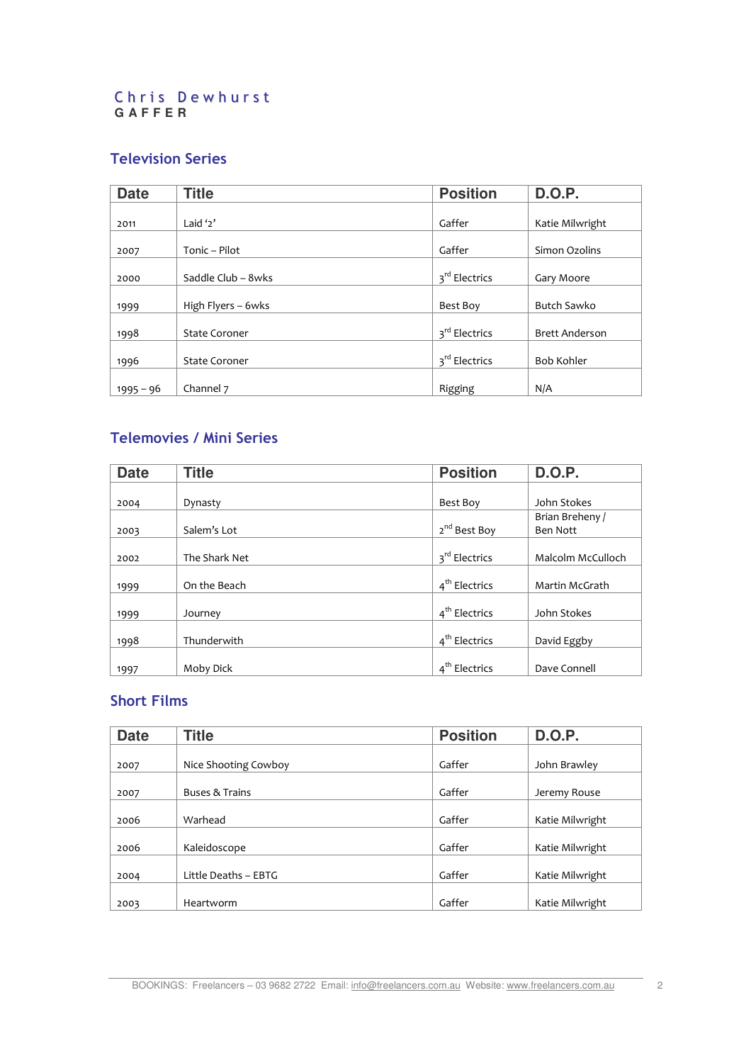#### Chris Dewhurst **G A F F E R**

## Television Series

| <b>Date</b> | <b>Title</b>         | <b>Position</b>           | <b>D.O.P.</b>         |
|-------------|----------------------|---------------------------|-----------------------|
|             |                      |                           |                       |
| 2011        | Laid $2'$            | Gaffer                    | Katie Milwright       |
|             |                      |                           |                       |
| 2007        | Tonic - Pilot        | Gaffer                    | Simon Ozolins         |
|             |                      |                           |                       |
| 2000        | Saddle Club - 8wks   | 3 <sup>rd</sup> Electrics | Gary Moore            |
|             |                      |                           |                       |
| 1999        | High Flyers - 6wks   | Best Boy                  | <b>Butch Sawko</b>    |
|             |                      |                           |                       |
| 1998        | <b>State Coroner</b> | 3 <sup>rd</sup> Electrics | <b>Brett Anderson</b> |
|             |                      |                           |                       |
| 1996        | <b>State Coroner</b> | 3 <sup>rd</sup> Electrics | <b>Bob Kohler</b>     |
|             |                      |                           |                       |
| 1995 – 96   | Channel 7            | Rigging                   | N/A                   |

# Telemovies / Mini Series

| <b>Date</b> | <b>Title</b>  | <b>Position</b>           | <b>D.O.P.</b>     |
|-------------|---------------|---------------------------|-------------------|
|             |               |                           |                   |
| 2004        | Dynasty       | Best Boy                  | John Stokes       |
|             |               |                           | Brian Breheny /   |
| 2003        | Salem's Lot   | 2 <sup>nd</sup> Best Boy  | Ben Nott          |
|             |               |                           |                   |
| 2002        | The Shark Net | 3 <sup>rd</sup> Electrics | Malcolm McCulloch |
|             |               |                           |                   |
| 1999        | On the Beach  | 4 <sup>th</sup> Electrics | Martin McGrath    |
|             |               |                           |                   |
| 1999        | Journey       | 4 <sup>th</sup> Electrics | John Stokes       |
|             |               |                           |                   |
| 1998        | Thunderwith   | 4 <sup>th</sup> Electrics | David Eggby       |
|             |               |                           |                   |
| 1997        | Moby Dick     | 4 <sup>th</sup> Electrics | Dave Connell      |

## Short Films

| <b>Date</b> | <b>Title</b>         | <b>Position</b> | <b>D.O.P.</b>   |
|-------------|----------------------|-----------------|-----------------|
|             |                      |                 |                 |
| 2007        | Nice Shooting Cowboy | Gaffer          | John Brawley    |
|             |                      |                 |                 |
| 2007        | Buses & Trains       | Gaffer          | Jeremy Rouse    |
|             |                      |                 |                 |
| 2006        | Warhead              | Gaffer          | Katie Milwright |
|             |                      |                 |                 |
| 2006        | Kaleidoscope         | Gaffer          | Katie Milwright |
|             |                      |                 |                 |
| 2004        | Little Deaths - EBTG | Gaffer          | Katie Milwright |
|             |                      |                 |                 |
| 2003        | Heartworm            | Gaffer          | Katie Milwright |